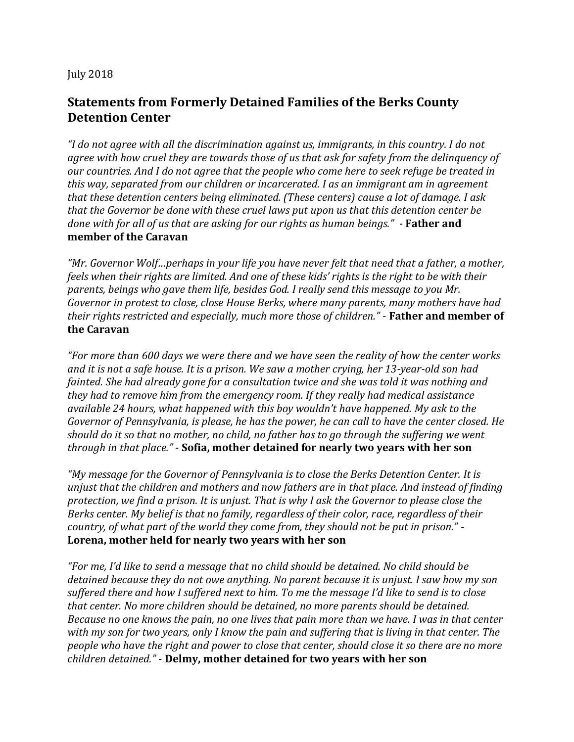## July 2018

## **Statements from Formerly Detained Families of the Berks County Detention Center**

*"I do not agree with all the discrimination against us, immigrants, in this country. I do not agree with how cruel they are towards those of us that ask for safety from the delinquency of our countries. And I do not agree that the people who come here to seek refuge be treated in this way, separated from our children or incarcerated. I as an immigrant am in agreement that these detention centers being eliminated. (These centers) cause a lot of damage. I ask that the Governor be done with these cruel laws put upon us that this detention center be done with for all of us that are asking for our rights as human beings." -* **Father and member of the Caravan**

*"Mr. Governor Wolf…perhaps in your life you have never felt that need that a father, a mother, feels when their rights are limited. And one of these kids' rights is the right to be with their parents, beings who gave them life, besides God. I really send this message to you Mr. Governor in protest to close, close House Berks, where many parents, many mothers have had their rights restricted and especially, much more those of children."* - **Father and member of the Caravan**

*"For more than 600 days we were there and we have seen the reality of how the center works and it is not a safe house. It is a prison. We saw a mother crying, her 13-year-old son had fainted. She had already gone for a consultation twice and she was told it was nothing and they had to remove him from the emergency room. If they really had medical assistance available 24 hours, what happened with this boy wouldn't have happened. My ask to the Governor of Pennsylvania, is please, he has the power, he can call to have the center closed. He should do it so that no mother, no child, no father has to go through the suffering we went through in that place."* - **Sofia, mother detained for nearly two years with her son**

*"My message for the Governor of Pennsylvania is to close the Berks Detention Center. It is unjust that the children and mothers and now fathers are in that place. And instead of finding protection, we find a prison. It is unjust. That is why I ask the Governor to please close the Berks center. My belief is that no family, regardless of their color, race, regardless of their country, of what part of the world they come from, they should not be put in prison."* - **Lorena, mother held for nearly two years with her son**

*"For me, I'd like to send a message that no child should be detained. No child should be detained because they do not owe anything. No parent because it is unjust. I saw how my son suffered there and how I suffered next to him. To me the message I'd like to send is to close that center. No more children should be detained, no more parents should be detained. Because no one knows the pain, no one lives that pain more than we have. I was in that center with my son for two years, only I know the pain and suffering that is living in that center. The people who have the right and power to close that center, should close it so there are no more children detained."* - **Delmy, mother detained for two years with her son**